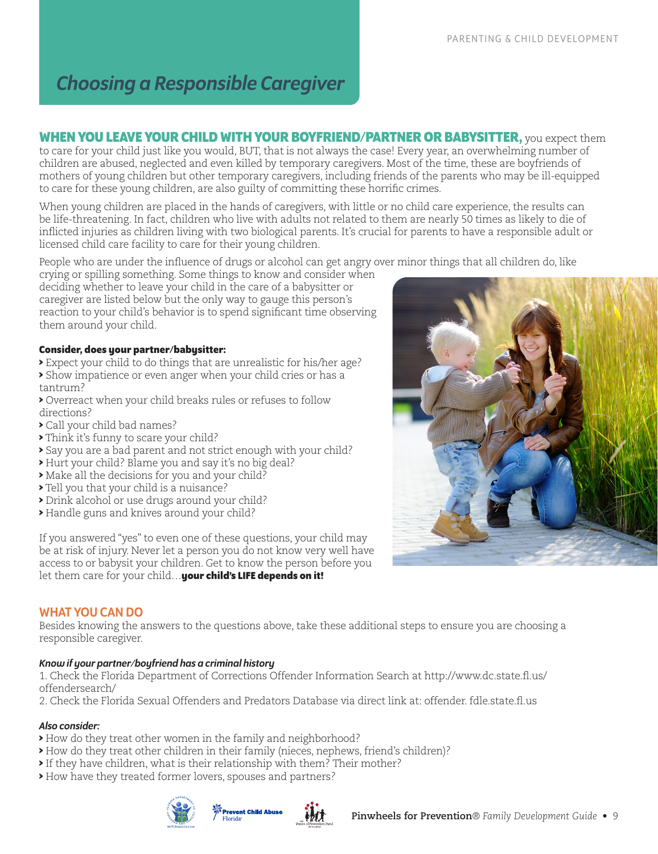# *Choosing a Responsible Caregiver*

**WHEN YOU LEAVE YOUR CHILD WITH YOUR BOYFRIEND/PARTNER OR BABYSITTER,** you expect them to care for your child just like you would, BUT, that is not always the case! Every year, an overwhelming number of children are abused, neglected and even killed by temporary caregivers. Most of the time, these are boyfriends of mothers of young children but other temporary caregivers, including friends of the parents who may be ill-equipped to care for these young children, are also guilty of committing these horrific crimes.

When young children are placed in the hands of caregivers, with little or no child care experience, the results can be life-threatening. In fact, children who live with adults not related to them are nearly 50 times as likely to die of inflicted injuries as children living with two biological parents. It's crucial for parents to have a responsible adult or licensed child care facility to care for their young children.

People who are under the influence of drugs or alcohol can get angry over minor things that all children do, like

crying or spilling something. Some things to know and consider when deciding whether to leave your child in the care of a babysitter or caregiver are listed below but the only way to gauge this person's reaction to your child's behavior is to spend significant time observing them around your child.

#### **Consider, does your partner/babysitter:**

- > Expect your child to do things that are unrealistic for his/her age?
- > Show impatience or even anger when your child cries or has a tantrum?
- > Overreact when your child breaks rules or refuses to follow directions?
- > Call your child bad names?
- > Think it's funny to scare your child?
- > Say you are a bad parent and not strict enough with your child?
- > Hurt your child? Blame you and say it's no big deal?
- > Make all the decisions for you and your child?
- > Tell you that your child is a nuisance?
- > Drink alcohol or use drugs around your child?
- > Handle guns and knives around your child?

If you answered "yes" to even one of these questions, your child may be at risk of injury. Never let a person you do not know very well have access to or babysit your children. Get to know the person before you let them care for your child…**your child's LIFE depends on it!**



#### WHAT YOU CAN DO

Besides knowing the answers to the questions above, take these additional steps to ensure you are choosing a responsible caregiver.

#### *Know if your partner/boyfriend has a criminal history*

1. Check the Florida Department of Corrections Offender Information Search at http://www.dc.state.fl.us/ offendersearch/

2. Check the Florida Sexual Offenders and Predators Database via direct link at: offender. fdle.state.fl.us

#### *Also consider:*

> How do they treat other women in the family and neighborhood?

- > How do they treat other children in their family (nieces, nephews, friend's children)?
- > If they have children, what is their relationship with them? Their mother?
- > How have they treated former lovers, spouses and partners?